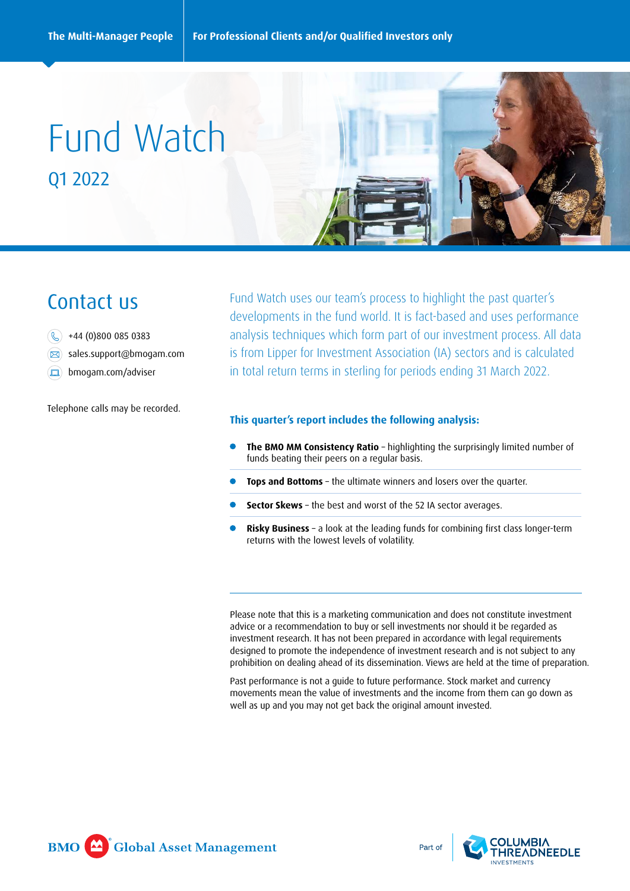# Fund Watch Q1 2022

## Contact us

- $\circledS$  +44 (0)800 085 0383
- sales.support@bmogam.com
- **bmogam.com/adviser**

Telephone calls may be recorded.

Fund Watch uses our team's process to highlight the past quarter's developments in the fund world. It is fact-based and uses performance analysis techniques which form part of our investment process. All data is from Lipper for Investment Association (IA) sectors and is calculated in total return terms in sterling for periods ending 31 March 2022.

## **This quarter's report includes the following analysis:**

- **The BMO MM Consistency Ratio** highlighting the surprisingly limited number of funds beating their peers on a regular basis.
- **Tops and Bottoms** the ultimate winners and losers over the quarter.
- **Sector Skews** the best and worst of the 52 IA sector averages.
- **Risky Business** a look at the leading funds for combining first class longer-term returns with the lowest levels of volatility.

Please note that this is a marketing communication and does not constitute investment advice or a recommendation to buy or sell investments nor should it be regarded as investment research. It has not been prepared in accordance with legal requirements designed to promote the independence of investment research and is not subject to any prohibition on dealing ahead of its dissemination. Views are held at the time of preparation.

Past performance is not a guide to future performance. Stock market and currency movements mean the value of investments and the income from them can go down as well as up and you may not get back the original amount invested.



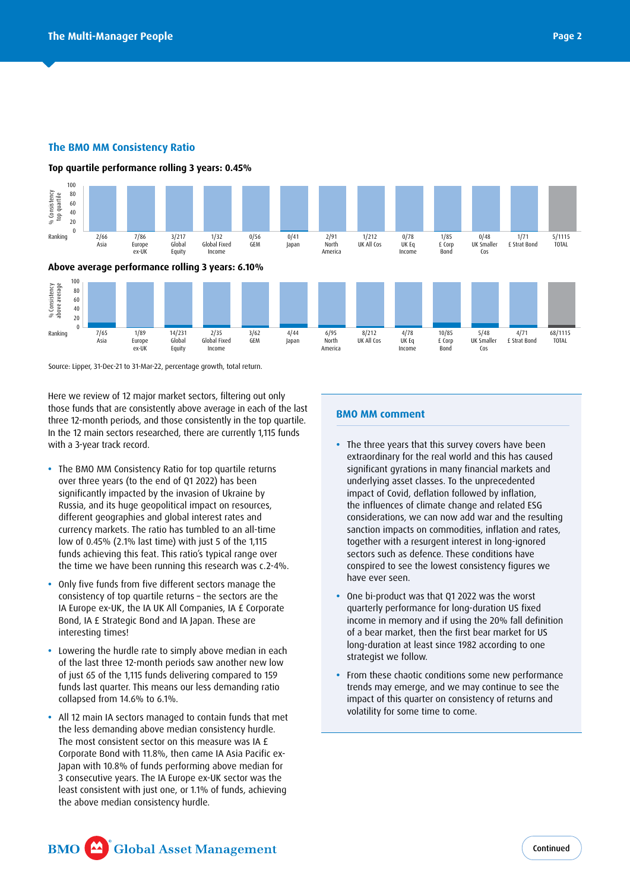## **The BMO MM Consistency Ratio**

**Top quartile performance rolling 3 years: 0.45%**





Source: Lipper, 31-Dec-21 to 31-Mar-22, percentage growth, total return.

Here we review of 12 major market sectors, filtering out only those funds that are consistently above average in each of the last three 12-month periods, and those consistently in the top quartile. In the 12 main sectors researched, there are currently 1,115 funds with a 3-year track record.

- The BMO MM Consistency Ratio for top quartile returns The sms han consistency hand to top quarties to. significantly impacted by the invasion of Ukraine by Russia, and its huge geopolitical impact on resources, different geographies and global interest rates and exceeding a segment of the grown interest cases and the currency markets. The ratio has tumbled to an all-time low of  $0.45\%$  (2.1% last time) with just 5 of the 1,115 funds achieving this feat. This ratio's typical range over the time we have been running this research was c.2-4%. 2S i  $\cdot$  ge ed<br>S
- **•** Only five funds from five different sectors manage the consistency of top quartile returns – the sectors are the IA Europe ex-UK, the IA UK All Companies, IA £ Corporate Bond, IA £ Strategic Bond and IA Japan. These are interesting times!
- **•** Lowering the hurdle rate to simply above median in each of the last three 12-month periods saw another new low of just 65 of the 1,115 funds delivering compared to 159 funds last quarter. This means our less demanding ratio collapsed from 14.6% to 6.1%.
- **•** All 12 main IA sectors managed to contain funds that met the less demanding above median consistency hurdle. The most consistent sector on this measure was IA £ Corporate Bond with 11.8%, then came IA Asia Pacific ex-Japan with 10.8% of funds performing above median for 3 consecutive years. The IA Europe ex-UK sector was the least consistent with just one, or 1.1% of funds, achieving the above median consistency hurdle.

## **BMO MM comment**

- tes and the resulting the sanctions, we can now add war and the resulting<br>an all-time sanction impacts on commodities, inflation and rates,<br>the 1115 in many rina<br>:ses. To the u ation followe<br>1ate change together with a resurgent interest in long-ignored<br>sectors such as defence. These conditions have conspired to see the lowest consistency figures we<br>have ever seen underlying asset classes. To the unprecedented<br>impact of Covid, deflation followed by inflation the influences of climate change and related ESG<br>considerations, we can now add was and the result sectors such as defence. These conditions have **•** The three years that this survey covers have been extraordinary for the real world and this has caused significant gyrations in many financial markets and impact of Covid, deflation followed by inflation, considerations, we can now add war and the resulting have ever seen.
	- hat Q1 2022 e ioi iong-ai.<br>nd if using th n the first be<br>t since 1982  $\frac{1}{2}$ 0.00% **•** One bi-product was that Q1 2022 was the worst income in memory and if using the 20% fall definition<br>of a bear market, then the first bear market for US long-duration at least since 1982 according to one<br>strategist we follow quarterly performance for long-duration US fixed of a bear market, then the first bear market for US strategist we follow.
	- 0.00% trends may emerge, and we may continue to see the n on consiste<br>me to come. • From these chaotic conditions some new performance trenas may emerge, and we may continue to see th<br>impact of this quarter on consistency of returns and 6.38% volatility for some time to come.

1.56%

**BMO** Global Asset Management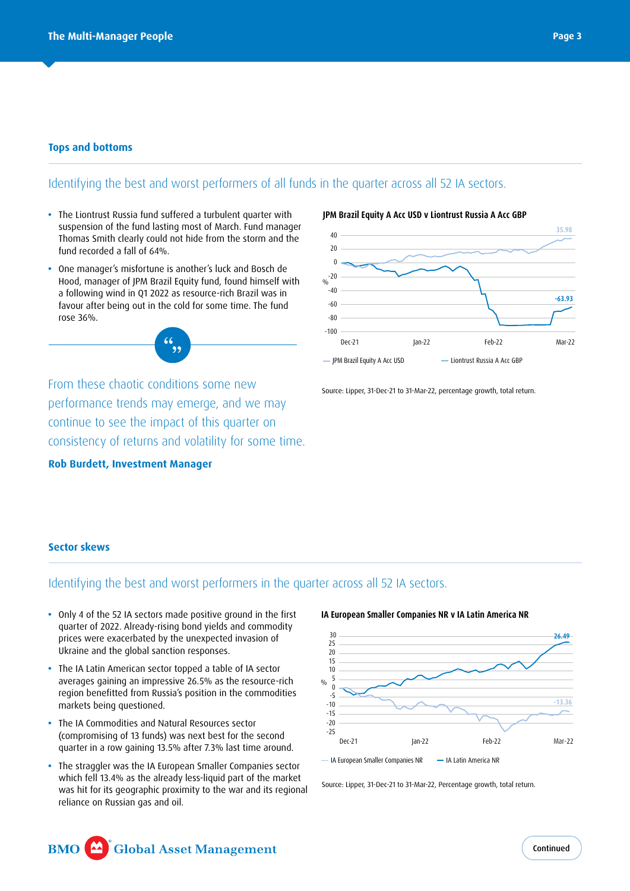## **Tops and bottoms**

## Identifying the best and worst performers of all funds in the quarter across all 52 IA sectors.

- **•** The Liontrust Russia fund suffered a turbulent quarter with suspension of the fund lasting most of March. Fund manager Thomas Smith clearly could not hide from the storm and the fund recorded a fall of 64%.
- **•** One manager's misfortune is another's luck and Bosch de Hood, manager of JPM Brazil Equity fund, found himself with a following wind in Q1 2022 as resource-rich Brazil was in favour after being out in the cold for some time. The fund rose 36%.



**Rob Burdett, Investment Manager**



**JPM Brazil Equity A Acc USD v Liontrust Russia A Acc GBP**

Source: Lipper, 31-Dec-21 to 31-Mar-22, percentage growth, total return.

## **Sector skews**

## Identifying the best and worst performers in the quarter across all 52 IA sectors.

- **•** Only 4 of the 52 IA sectors made positive ground in the first quarter of 2022. Already-rising bond yields and commodity prices were exacerbated by the unexpected invasion of Ukraine and the global sanction responses.
- **•** The IA Latin American sector topped a table of IA sector averages gaining an impressive 26.5% as the resource-rich region benefitted from Russia's position in the commodities markets being questioned.
- **•** The IA Commodities and Natural Resources sector (compromising of 13 funds) was next best for the second quarter in a row gaining 13.5% after 7.3% last time around.
- **•** The straggler was the IA European Smaller Companies sector which fell 13.4% as the already less-liquid part of the market was hit for its geographic proximity to the war and its regional reliance on Russian gas and oil.

#### -15  $-10$ -5  $\theta$ 5 10 15  $20$ 25 30  $\frac{0}{0}$ **IA European Smaller Companies NR v IA Latin America NR -13.36 26.49**

Dec-21 Jan-22 Feb-22 Mar-22

- IA European Smaller Companies NR - - IA Latin America NR

-25  $-20$ 

Source: Lipper, 31-Dec-21 to 31-Mar-22, Percentage growth, total return.

### Global Asset Management **BMO**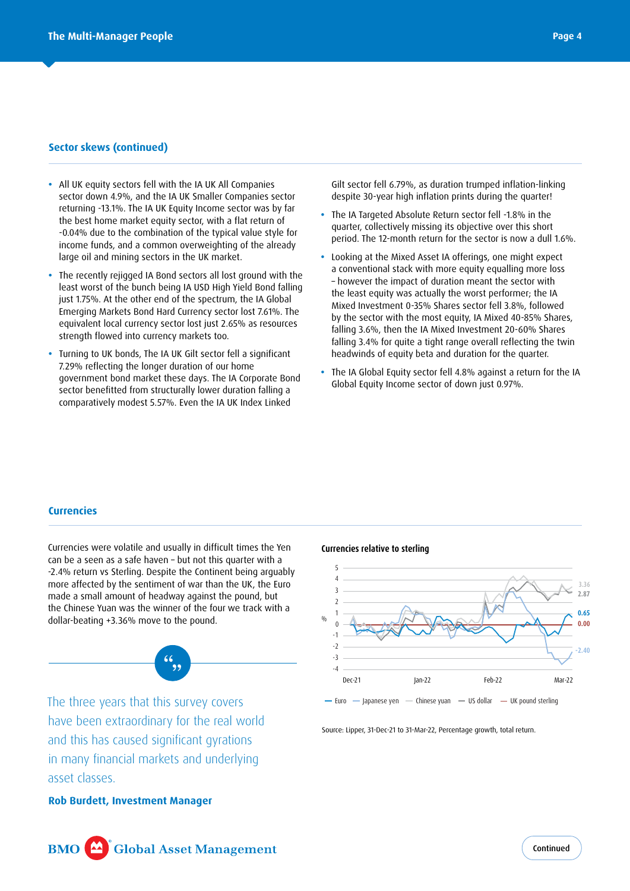## **Sector skews (continued)**

- **•** All UK equity sectors fell with the IA UK All Companies sector down 4.9%, and the IA UK Smaller Companies sector returning -13.1%. The IA UK Equity Income sector was by far the best home market equity sector, with a flat return of -0.04% due to the combination of the typical value style for income funds, and a common overweighting of the already large oil and mining sectors in the UK market.
- **•** The recently rejigged IA Bond sectors all lost ground with the least worst of the bunch being IA USD High Yield Bond falling just 1.75%. At the other end of the spectrum, the IA Global Emerging Markets Bond Hard Currency sector lost 7.61%. The equivalent local currency sector lost just 2.65% as resources strength flowed into currency markets too.
- **•** Turning to UK bonds, The IA UK Gilt sector fell a significant 7.29% reflecting the longer duration of our home government bond market these days. The IA Corporate Bond sector benefitted from structurally lower duration falling a comparatively modest 5.57%. Even the IA UK Index Linked

Gilt sector fell 6.79%, as duration trumped inflation-linking despite 30-year high inflation prints during the quarter!

- **•** The IA Targeted Absolute Return sector fell -1.8% in the quarter, collectively missing its objective over this short period. The 12-month return for the sector is now a dull 1.6%.
- **•** Looking at the Mixed Asset IA offerings, one might expect a conventional stack with more equity equalling more loss – however the impact of duration meant the sector with the least equity was actually the worst performer; the IA Mixed Investment 0-35% Shares sector fell 3.8%, followed by the sector with the most equity, IA Mixed 40-85% Shares, falling 3.6%, then the IA Mixed Investment 20-60% Shares falling 3.4% for quite a tight range overall reflecting the twin headwinds of equity beta and duration for the quarter.
- **•** The IA Global Equity sector fell 4.8% against a return for the IA Global Equity Income sector of down just 0.97%.

## **Currencies**

Currencies were volatile and usually in difficult times the Yen can be a seen as a safe haven – but not this quarter with a -2.4% return vs Sterling. Despite the Continent being arguably more affected by the sentiment of war than the UK, the Euro made a small amount of headway against the pound, but the Chinese Yuan was the winner of the four we track with a dollar-beating +3.36% move to the pound.



The three years that this survey covers have been extraordinary for the real world and this has caused significant gyrations in many financial markets and underlying asset classes.

**Rob Burdett, Investment Manager**

## **Currencies relative to sterling**



Source: Lipper, 31-Dec-21 to 31-Mar-22, Percentage growth, total return.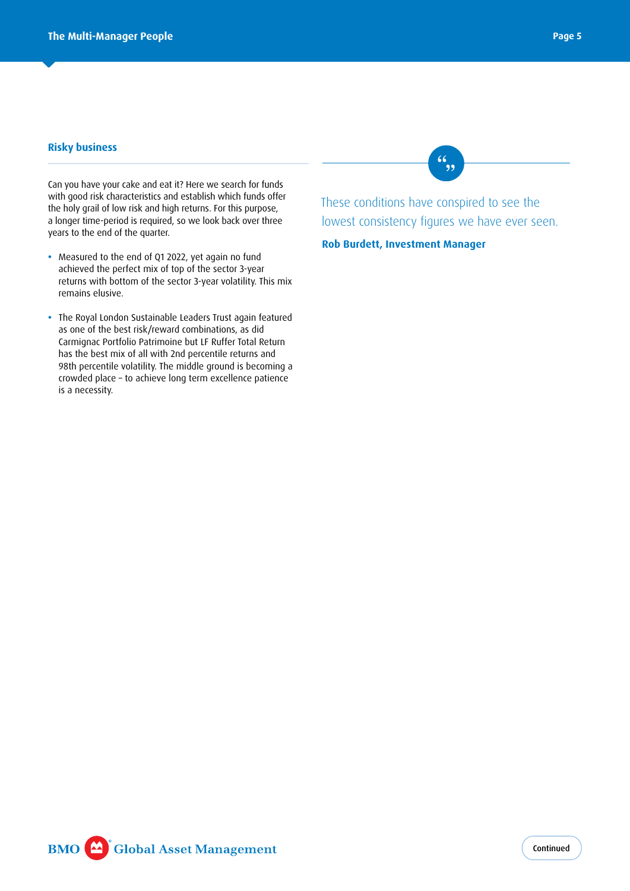## **Risky business**

Can you have your cake and eat it? Here we search for funds with good risk characteristics and establish which funds offer the holy grail of low risk and high returns. For this purpose, a longer time-period is required, so we look back over three years to the end of the quarter.

- **•** Measured to the end of Q1 2022, yet again no fund achieved the perfect mix of top of the sector 3-year returns with bottom of the sector 3-year volatility. This mix remains elusive.
- **•** The Royal London Sustainable Leaders Trust again featured as one of the best risk/reward combinations, as did Carmignac Portfolio Patrimoine but LF Ruffer Total Return has the best mix of all with 2nd percentile returns and 98th percentile volatility. The middle ground is becoming a crowded place – to achieve long term excellence patience is a necessity.

 $6, 9$ 

These conditions have conspired to see the lowest consistency figures we have ever seen.

**Rob Burdett, Investment Manager**